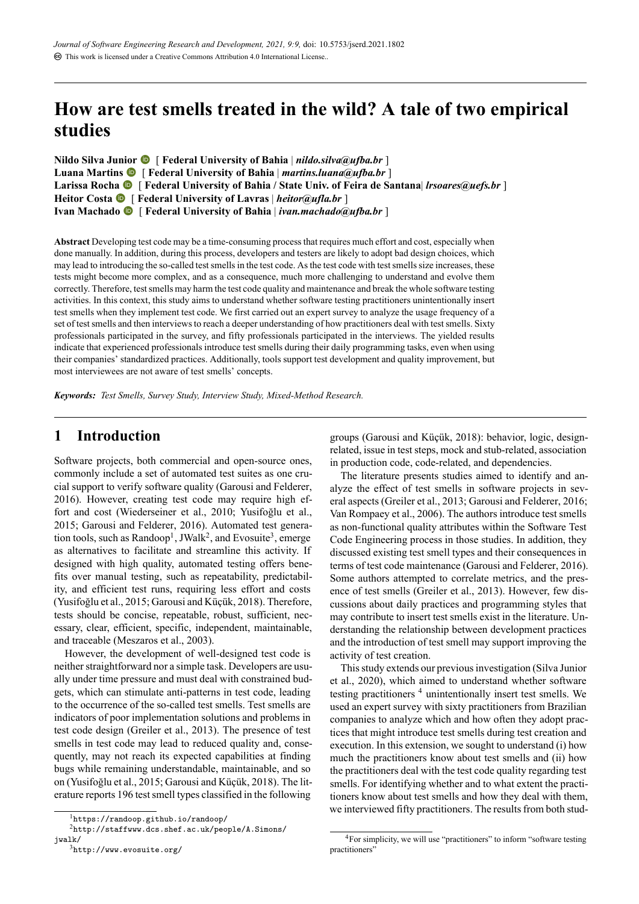# **How are test smells treated in the wild? A tale of two empirical studies**

**Nildo Silva Junior** [ **Federal University of Bahia** | *[nildo.silva@ufba.br](mailto:nildo.silva@ufba.br)* ] Luana Martins  $\bullet$  [ Federal University of Bahia | *[martins.luana@ufba.br](mailto:martins.luana@ufba.br)* ] **Larissa Rocha** [ **Federal University of Bahia / State Univ. of Feira de Santana**| *[lrsoares@uefs.br](mailto:lrsoares@uefs.br)* ] **Heitor Costa** [ **Federal University of Lavras** | *[heitor@ufla.br](mailto:heitor@ufla.br)* ] **Ivan Machado**  $\bullet$  [ Federal University of Bahia | *[ivan.machado@ufba.br](mailto:ivan.machado@ufba.br)* ]

Abstract Developing test code may be a time-consuming process that requires much effort and cost, especially when done manually. In addition, during this process, developers and testers are likely to adopt bad design choices, which may lead to introducing the so-called test smells in the test code. As the test code with test smells size increases, these tests might become more complex, and as a consequence, much more challenging to understand and evolve them correctly. Therefore, test smells may harm the test code quality and maintenance and break the whole software testing activities. In this context, this study aims to understand whether software testing practitioners unintentionally insert test smells when they implement test code. We first carried out an expert survey to analyze the usage frequency of a set of test smells and then interviews to reach a deeper understanding of how practitioners deal with test smells. Sixty professionals participated in the survey, and fifty professionals participated in the interviews. The yielded results indicate that experienced professionals introduce test smells during their daily programming tasks, even when using their companies' standardized practices. Additionally, tools support test development and quality improvement, but most interviewees are not aware of test smells' concepts.

Keywords: Test Smells, Survey Study, Interview Study, Mixed-Method Research.

## **1 Introduction**

Software projects, both commercial and open-source ones, commonly include a set of automated test suites as one crucial support to verify software quality([Garousi and Felderer](#page-13-0), [2016](#page-13-0)). However, creating test code may require high effort and cost([Wiederseiner et al.,](#page-14-0) [2010;](#page-14-0) [Yusifoğlu et al.](#page-14-1), [2015](#page-14-1); [Garousi and Felderer,](#page-13-0) [2016\)](#page-13-0). Automated test generation tools, such as Randoop<sup>1</sup>, JWalk<sup>2</sup>, and Evosuite<sup>3</sup>, emerge as alternatives to facilitate and streamline this activity. If designed with high quality, automated testing offers benefits over manual testing, such as repeatability, predictability, and efficient test runs, requiring less effort and costs [\(Yusifoğlu et al.,](#page-14-1) [2015;](#page-14-1) [Garousi and Küçük](#page-13-1), [2018](#page-13-1)). Therefore, tests should be concise, repeatable, robust, sufficient, necessary, clear, efficient, specific, independent, maintainable, and traceable [\(Meszaros et al.](#page-13-2), [2003\)](#page-13-2).

However, the development of well-designed test code is neither straightforward nor a simple task. Developers are usually under time pressure and must deal with constrained budgets, which can stimulate anti-patterns in test code, leading to the occurrence of the so-called test smells. Test smells are indicators of poor implementation solutions and problems in test code design([Greiler et al.](#page-13-3), [2013\)](#page-13-3). The presence of test smells in test code may lead to reduced quality and, consequently, may not reach its expected capabilities at finding bugs while remaining understandable, maintainable, and so on([Yusifoğlu et al.,](#page-14-1) [2015](#page-14-1); [Garousi and Küçük](#page-13-1), [2018](#page-13-1)). The literature reports 196 test smell types classified in the following

<sup>3</sup><http://www.evosuite.org/>

groups([Garousi and Küçük](#page-13-1), [2018\)](#page-13-1): behavior, logic, designrelated, issue in test steps, mock and stub-related, association in production code, code-related, and dependencies.

The literature presents studies aimed to identify and analyze the effect of test smells in software projects in several aspects([Greiler et al.,](#page-13-3) [2013](#page-13-3); [Garousi and Felderer](#page-13-0), [2016;](#page-13-0) [Van Rompaey et al.](#page-14-2), [2006\)](#page-14-2). The authors introduce test smells as non-functional quality attributes within the Software Test Code Engineering process in those studies. In addition, they discussed existing test smell types and their consequences in terms of test code maintenance([Garousi and Felderer,](#page-13-0) [2016](#page-13-0)). Some authors attempted to correlate metrics, and the presence of test smells([Greiler et al.,](#page-13-3) [2013\)](#page-13-3). However, few discussions about daily practices and programming styles that may contribute to insert test smells exist in the literature. Understanding the relationship between development practices and the introduction of test smell may support improving the activity of test creation.

This study extends our previous investigation([Silva Junior](#page-13-4) [et al.,](#page-13-4) [2020\)](#page-13-4), which aimed to understand whether software testing practitioners<sup>4</sup> unintentionally insert test smells. We used an expert survey with sixty practitioners from Brazilian companies to analyze which and how often they adopt practices that might introduce test smells during test creation and execution. In this extension, we sought to understand (i) how much the practitioners know about test smells and (ii) how the practitioners deal with the test code quality regarding test smells. For identifying whether and to what extent the practitioners know about test smells and how they deal with them, we interviewed fifty practitioners. The results from both stud-

<sup>1</sup><https://randoop.github.io/randoop/>

<sup>2</sup>[http://staffwww.dcs.shef.ac.uk/people/A.Simons/](http://staffwww. dcs.shef.ac.uk/people/A.Simons/jwalk/) [jwalk/](http://staffwww. dcs.shef.ac.uk/people/A.Simons/jwalk/)

<sup>&</sup>lt;sup>4</sup>For simplicity, we will use "practitioners" to inform "software testing practitioners"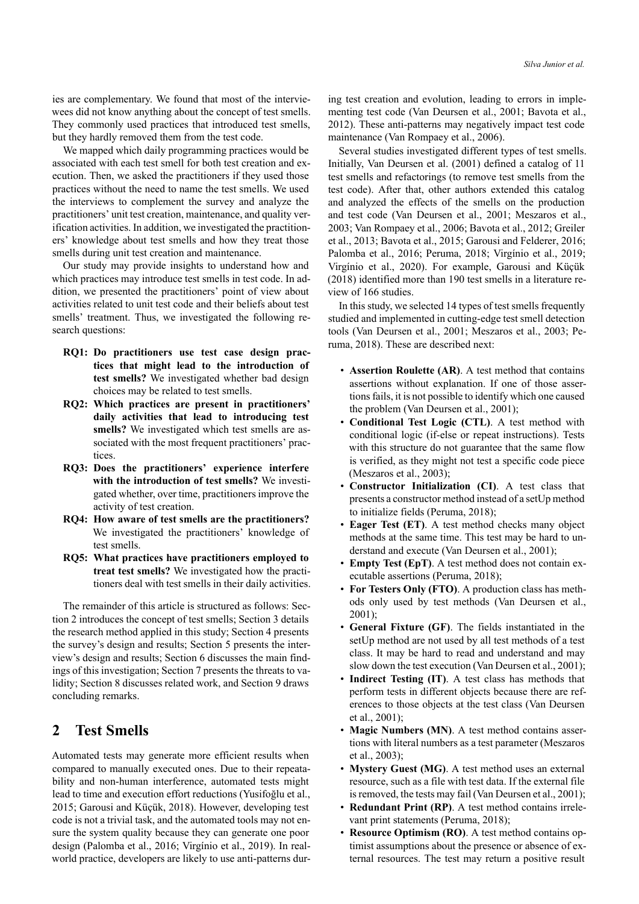ies are complementary. We found that most of the interviewees did not know anything about the concept of test smells. They commonly used practices that introduced test smells, but they hardly removed them from the test code.

We mapped which daily programming practices would be associated with each test smell for both test creation and execution. Then, we asked the practitioners if they used those practices without the need to name the test smells. We used the interviews to complement the survey and analyze the practitioners' unit test creation, maintenance, and quality verification activities. In addition, we investigated the practitioners' knowledge about test smells and how they treat those smells during unit test creation and maintenance.

Our study may provide insights to understand how and which practices may introduce test smells in test code. In addition, we presented the practitioners' point of view about activities related to unit test code and their beliefs about test smells' treatment. Thus, we investigated the following research questions:

- **RQ1: Do practitioners use test case design practices that might lead to the introduction of test smells?** We investigated whether bad design choices may be related to test smells.
- **RQ2: Which practices are present in practitioners' daily activities that lead to introducing test smells?** We investigated which test smells are associated with the most frequent practitioners' practices.
- **RQ3: Does the practitioners' experience interfere with the introduction of test smells?** We investigated whether, over time, practitioners improve the activity of test creation.
- **RQ4: How aware of test smells are the practitioners?** We investigated the practitioners' knowledge of test smells.
- **RQ5: What practices have practitioners employed to treat test smells?** We investigated how the practitioners deal with test smells in their daily activities.

The remainder of this article is structured as follows: Section [2](#page-1-0) introduces the concept of test smells; Section [3](#page-2-0) details the research method applied in this study; Section [4](#page-2-1) presents the survey's design and results; Section [5](#page-6-0) presents the interview's design and results; Section [6](#page-9-0) discusses the main findings of this investigation; Section [7](#page-12-0) presents the threats to validity; Section [8](#page-12-1) discusses related work, and Section [9](#page-12-2) draws concluding remarks.

## <span id="page-1-0"></span>**2 Test Smells**

Automated tests may generate more efficient results when compared to manually executed ones. Due to their repeatability and non-human interference, automated tests might lead to time and execution effort reductions [\(Yusifoğlu et al.,](#page-14-1) [2015;](#page-14-1) [Garousi and Küçük](#page-13-1), [2018](#page-13-1)). However, developing test code is not a trivial task, and the automated tools may not ensure the system quality because they can generate one poor design [\(Palomba et al.,](#page-13-5) [2016](#page-13-5); [Virgínio et al.,](#page-14-3) [2019](#page-14-3)). In realworld practice, developers are likely to use anti-patterns during test creation and evolution, leading to errors in implementing test code [\(Van Deursen et al.,](#page-14-4) [2001;](#page-14-4) [Bavota et al.,](#page-13-6) [2012\)](#page-13-6). These anti-patterns may negatively impact test code maintenance([Van Rompaey et al.,](#page-14-2) [2006\)](#page-14-2).

Several studies investigated different types of test smells. Initially, [Van Deursen et al.](#page-14-4) [\(2001](#page-14-4)) defined a catalog of 11 test smells and refactorings (to remove test smells from the test code). After that, other authors extended this catalog and analyzed the effects of the smells on the production and test code([Van Deursen et al.,](#page-14-4) [2001](#page-14-4); [Meszaros et al.,](#page-13-2) [2003;](#page-13-2) [Van Rompaey et al.,](#page-14-2) [2006;](#page-14-2) [Bavota et al.](#page-13-6), [2012;](#page-13-6) [Greiler](#page-13-3) [et al.,](#page-13-3) [2013;](#page-13-3) [Bavota et al.,](#page-13-7) [2015](#page-13-7); [Garousi and Felderer](#page-13-0), [2016;](#page-13-0) [Palomba et al.,](#page-13-5) [2016;](#page-13-5) [Peruma,](#page-13-8) [2018;](#page-13-8) [Virgínio et al.,](#page-14-3) [2019;](#page-14-3) [Virgínio et al.](#page-14-5), [2020](#page-14-5)). For example, [Garousi and Küçük](#page-13-1) ([2018\)](#page-13-1) identified more than 190 test smells in a literature review of 166 studies.

In this study, we selected 14 types of test smells frequently studied and implemented in cutting-edge test smell detection tools([Van Deursen et al.,](#page-14-4) [2001](#page-14-4); [Meszaros et al.](#page-13-2), [2003](#page-13-2); [Pe](#page-13-8)[ruma](#page-13-8), [2018](#page-13-8)). These are described next:

- **Assertion Roulette (AR)**. A test method that contains assertions without explanation. If one of those assertions fails, it is not possible to identify which one caused the problem [\(Van Deursen et al.](#page-14-4), [2001](#page-14-4));
- **Conditional Test Logic (CTL)**. A test method with conditional logic (if-else or repeat instructions). Tests with this structure do not guarantee that the same flow is verified, as they might not test a specific code piece ([Meszaros et al.,](#page-13-2) [2003\)](#page-13-2);
- **Constructor Initialization (CI)**. A test class that presents a constructor method instead of a setUp method to initialize fields [\(Peruma,](#page-13-8) [2018\)](#page-13-8);
- **Eager Test (ET)**. A test method checks many object methods at the same time. This test may be hard to understand and execute [\(Van Deursen et al.](#page-14-4), [2001\)](#page-14-4);
- **Empty Test (EpT)**. A test method does not contain executable assertions [\(Peruma,](#page-13-8) [2018\)](#page-13-8);
- **For Testers Only (FTO)**. A production class has methods only used by test methods [\(Van Deursen et al.,](#page-14-4) [2001\)](#page-14-4);
- **General Fixture (GF)**. The fields instantiated in the setUp method are not used by all test methods of a test class. It may be hard to read and understand and may slow down the test execution [\(Van Deursen et al.](#page-14-4), [2001\)](#page-14-4);
- **Indirect Testing (IT)**. A test class has methods that perform tests in different objects because there are references to those objects at the test class [\(Van Deursen](#page-14-4) [et al.](#page-14-4), [2001\)](#page-14-4);
- **Magic Numbers (MN)**. A test method contains assertions with literal numbers as a test parameter([Meszaros](#page-13-2) [et al.](#page-13-2), [2003\)](#page-13-2);
- **Mystery Guest (MG)**. A test method uses an external resource, such as a file with test data. If the external file is removed, the tests may fail [\(Van Deursen et al.](#page-14-4), [2001\)](#page-14-4);
- **Redundant Print (RP)**. A test method contains irrelevant print statements [\(Peruma,](#page-13-8) [2018\)](#page-13-8);
- **Resource Optimism (RO)**. A test method contains optimist assumptions about the presence or absence of external resources. The test may return a positive result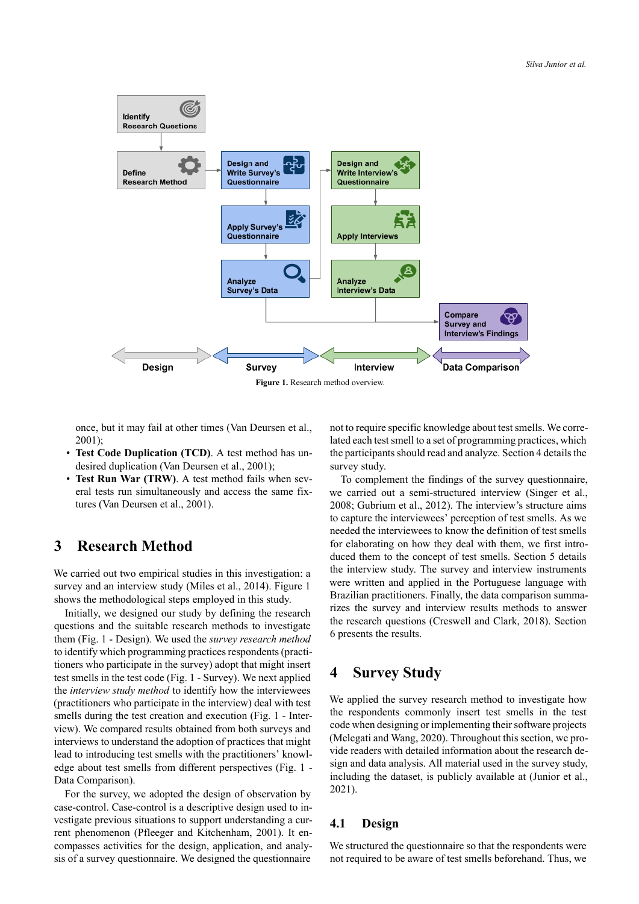<span id="page-2-2"></span>

once, but it may fail at other times([Van Deursen et al.](#page-14-4), [2001](#page-14-4));

- **Test Code Duplication (TCD)**. A test method has undesired duplication [\(Van Deursen et al.](#page-14-4), [2001](#page-14-4));
- **Test Run War (TRW)**. A test method fails when several tests run simultaneously and access the same fixtures [\(Van Deursen et al.,](#page-14-4) [2001](#page-14-4)).

## <span id="page-2-0"></span>**3 Research Method**

We carried out two empirical studies in this investigation: a survey and an interview study [\(Miles et al.](#page-13-9), [2014](#page-13-9)). Figure [1](#page-2-2) shows the methodological steps employed in this study.

Initially, we designed our study by defining the research questions and the suitable research methods to investigate them (Fig. [1](#page-2-2) Design). We used the *survey research method* to identify which programming practices respondents (practitioners who participate in the survey) adopt that might insert test smells in the test code (Fig. [1](#page-2-2) - Survey). We next applied the *interview study method* to identify how the interviewees (practitioners who participate in the interview) deal with test smells during the test creation and execution (Fig. [1](#page-2-2) - Interview). We compared results obtained from both surveys and interviews to understand the adoption of practices that might lead to introducing test smells with the practitioners' knowledge about test smells from different perspectives (Fig. [1](#page-2-2) Data Comparison).

For the survey, we adopted the design of observation by case-control. Case-control is a descriptive design used to investigate previous situations to support understanding a current phenomenon [\(Pfleeger and Kitchenham](#page-13-10), [2001\)](#page-13-10). It encompasses activities for the design, application, and analysis of a survey questionnaire. We designed the questionnaire

not to require specific knowledge about test smells. We correlated each test smell to a set of programming practices, which the participants should read and analyze. Section [4](#page-2-1) details the survey study.

To complement the findings of the survey questionnaire, we carried out a semi-structured interview [\(Singer et al.](#page-13-11), [2008](#page-13-11); [Gubrium et al.](#page-13-12), [2012](#page-13-12)). The interview's structure aims to capture the interviewees' perception of test smells. As we needed the interviewees to know the definition of test smells for elaborating on how they deal with them, we first introduced them to the concept of test smells. Section [5](#page-6-0) details the interview study. The survey and interview instruments were written and applied in the Portuguese language with Brazilian practitioners. Finally, the data comparison summarizes the survey and interview results methods to answer the research questions [\(Creswell and Clark,](#page-13-13) [2018\)](#page-13-13). Section [6](#page-9-0) presents the results.

## <span id="page-2-1"></span>**4 Survey Study**

We applied the survey research method to investigate how the respondents commonly insert test smells in the test code when designing or implementing their software projects [\(Melegati and Wang](#page-13-14), [2020\)](#page-13-14). Throughout this section, we provide readers with detailed information about the research design and data analysis. All material used in the survey study, including the dataset, is publicly available at([Junior et al.](#page-13-15), [2021](#page-13-15)).

### **4.1 Design**

We structured the questionnaire so that the respondents were not required to be aware of test smells beforehand. Thus, we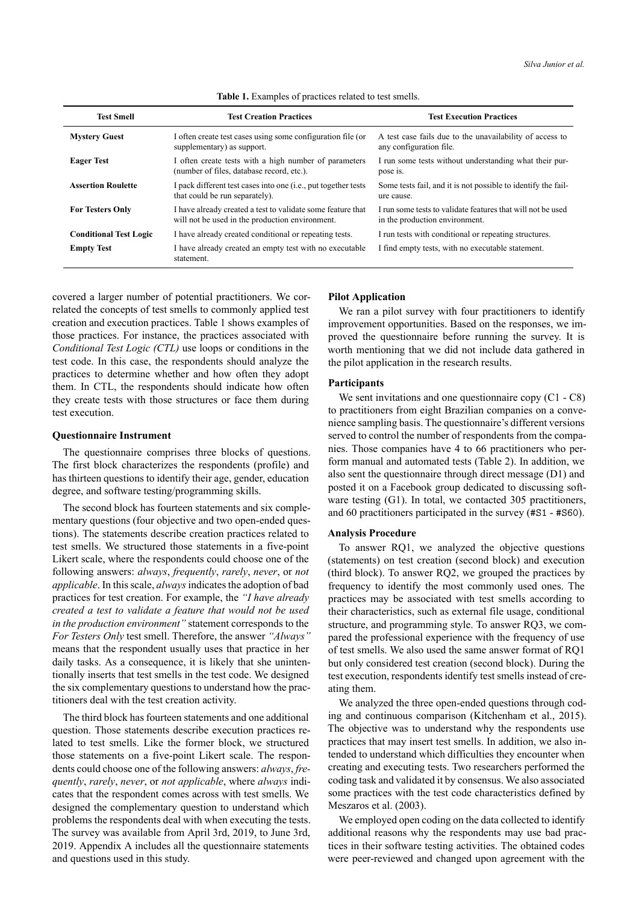<span id="page-3-0"></span>

| <b>Test Smell</b>             | <b>Test Creation Practices</b>                                                                                 | <b>Test Execution Practices</b>                                                               |
|-------------------------------|----------------------------------------------------------------------------------------------------------------|-----------------------------------------------------------------------------------------------|
| <b>Mystery Guest</b>          | I often create test cases using some configuration file (or<br>supplementary) as support.                      | A test case fails due to the unavailability of access to<br>any configuration file.           |
| <b>Eager Test</b>             | I often create tests with a high number of parameters<br>(number of files, database record, etc.).             | I run some tests without understanding what their pur-<br>pose is.                            |
| <b>Assertion Roulette</b>     | I pack different test cases into one (i.e., put together tests<br>that could be run separately).               | Some tests fail, and it is not possible to identify the fail-<br>ure cause.                   |
| <b>For Testers Only</b>       | I have already created a test to validate some feature that<br>will not be used in the production environment. | I run some tests to validate features that will not be used<br>in the production environment. |
| <b>Conditional Test Logic</b> | I have already created conditional or repeating tests.                                                         | I run tests with conditional or repeating structures.                                         |
| <b>Empty Test</b>             | I have already created an empty test with no executable<br>statement.                                          | I find empty tests, with no executable statement.                                             |

**Table 1.** Examples of practices related to test smells.

covered a larger number of potential practitioners. We correlated the concepts of test smells to commonly applied test creation and execution practices. Table [1](#page-3-0) shows examples of those practices. For instance, the practices associated with *Conditional Test Logic (CTL)* use loops or conditions in the test code. In this case, the respondents should analyze the practices to determine whether and how often they adopt them. In CTL, the respondents should indicate how often they create tests with those structures or face them during test execution.

#### **Questionnaire Instrument**

The questionnaire comprises three blocks of questions. The first block characterizes the respondents (profile) and has thirteen questions to identify their age, gender, education degree, and software testing/programming skills.

The second block has fourteen statements and six complementary questions (four objective and two open-ended questions). The statements describe creation practices related to test smells. We structured those statements in a five-point Likert scale, where the respondents could choose one of the following answers: *always*, *frequently*, *rarely*, *never*, or *not applicable*. In this scale, *always*indicates the adoption of bad practices for test creation. For example, the *"I have already created a test to validate a feature that would not be used in the production environment"* statement corresponds to the *For Testers Only* test smell. Therefore, the answer *"Always"* means that the respondent usually uses that practice in her daily tasks. As a consequence, it is likely that she unintentionally inserts that test smells in the test code. We designed the six complementary questions to understand how the practitioners deal with the test creation activity.

The third block has fourteen statements and one additional question. Those statements describe execution practices related to test smells. Like the former block, we structured those statements on a five-point Likert scale. The respondents could choose one of the following answers: *always*, *frequently*, *rarely*, *never*, or *not applicable*, where *always* indicates that the respondent comes across with test smells. We designed the complementary question to understand which problems the respondents deal with when executing the tests. The survey was available from April 3rd, 2019, to June 3rd, 2019. Appendix [A](#page-14-6) includes all the questionnaire statements and questions used in this study.

#### **Pilot Application**

We ran a pilot survey with four practitioners to identify improvement opportunities. Based on the responses, we improved the questionnaire before running the survey. It is worth mentioning that we did not include data gathered in the pilot application in the research results.

#### **Participants**

We sent invitations and one questionnaire copy  $(C1 - C8)$ to practitioners from eight Brazilian companies on a convenience sampling basis. The questionnaire's different versions served to control the number of respondents from the companies. Those companies have 4 to 66 practitioners who perform manual and automated tests (Table [2](#page-4-0)). In addition, we also sent the questionnaire through direct message (D1) and posted it on a Facebook group dedicated to discussing software testing (G1). In total, we contacted 305 practitioners, and 60 practitioners participated in the survey (#S1 - #S60).

#### **Analysis Procedure**

To answer RQ1, we analyzed the objective questions (statements) on test creation (second block) and execution (third block). To answer RQ2, we grouped the practices by frequency to identify the most commonly used ones. The practices may be associated with test smells according to their characteristics, such as external file usage, conditional structure, and programming style. To answer RQ3, we compared the professional experience with the frequency of use of test smells. We also used the same answer format of RQ1 but only considered test creation (second block). During the test execution, respondents identify test smells instead of creating them.

We analyzed the three open-ended questions through coding and continuous comparison([Kitchenham et al.,](#page-13-16) [2015\)](#page-13-16). The objective was to understand why the respondents use practices that may insert test smells. In addition, we also intended to understand which difficulties they encounter when creating and executing tests. Two researchers performed the coding task and validated it by consensus. We also associated some practices with the test code characteristics defined by [Meszaros et al.](#page-13-2) ([2003\)](#page-13-2).

We employed open coding on the data collected to identify additional reasons why the respondents may use bad practices in their software testing activities. The obtained codes were peer-reviewed and changed upon agreement with the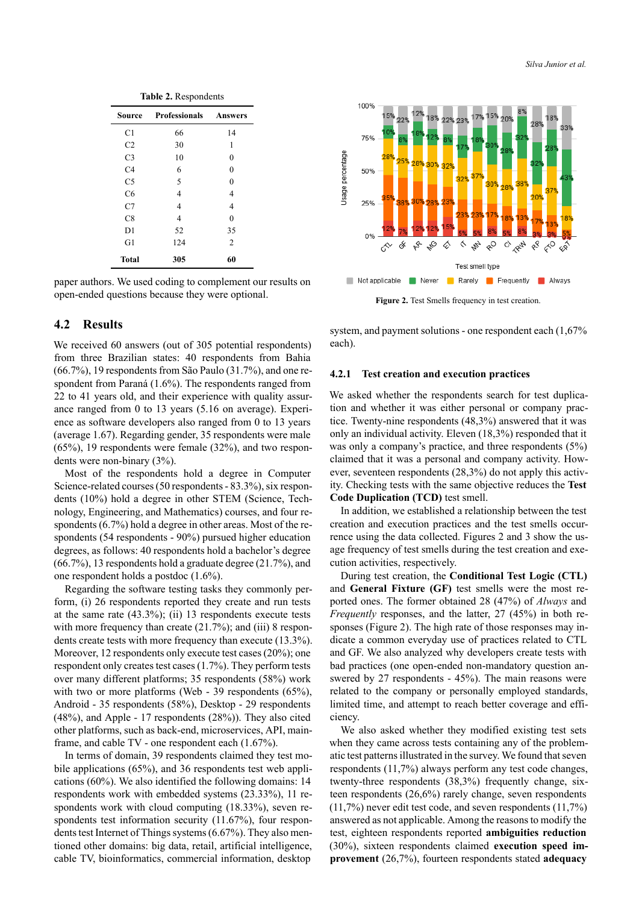<span id="page-4-0"></span>

| Table 2. Respondents |                              |                |  |
|----------------------|------------------------------|----------------|--|
| Source               | <b>Professionals</b> Answers |                |  |
| C1                   | 66                           | 14             |  |
| C <sub>2</sub>       | 30                           | 1              |  |
| C <sub>3</sub>       | 10                           | 0              |  |
| C4                   | 6                            | 0              |  |
| C5                   | 5                            | 0              |  |
| C <sub>6</sub>       | 4                            | 4              |  |
| C7                   | 4                            | 4              |  |
| C8                   | 4                            | $\Omega$       |  |
| D1                   | 52                           | 35             |  |
| G1                   | 124                          | $\overline{2}$ |  |
| Total                | 305                          | 60             |  |

paper authors. We used coding to complement our results on open-ended questions because they were optional.

### **4.2 Results**

We received 60 answers (out of 305 potential respondents) from three Brazilian states: 40 respondents from Bahia (66.7%), 19 respondents from São Paulo (31.7%), and one respondent from Paraná (1.6%). The respondents ranged from 22 to 41 years old, and their experience with quality assurance ranged from 0 to 13 years (5.16 on average). Experience as software developers also ranged from 0 to 13 years (average 1.67). Regarding gender, 35 respondents were male (65%), 19 respondents were female (32%), and two respondents were non-binary  $(3\%)$ .

Most of the respondents hold a degree in Computer Science-related courses (50 respondents - 83.3%), six respondents (10%) hold a degree in other STEM (Science, Technology, Engineering, and Mathematics) courses, and four respondents (6.7%) hold a degree in other areas. Most of the respondents (54 respondents - 90%) pursued higher education degrees, as follows: 40 respondents hold a bachelor's degree (66.7%), 13 respondents hold a graduate degree (21.7%), and one respondent holds a postdoc (1.6%).

Regarding the software testing tasks they commonly perform, (i) 26 respondents reported they create and run tests at the same rate (43.3%); (ii) 13 respondents execute tests with more frequency than create (21.7%); and (iii) 8 respondents create tests with more frequency than execute (13.3%). Moreover, 12 respondents only execute test cases (20%); one respondent only creates test cases (1.7%). They perform tests over many different platforms; 35 respondents (58%) work with two or more platforms (Web - 39 respondents  $(65\%)$ , Android - 35 respondents (58%), Desktop - 29 respondents  $(48\%)$ , and Apple - 17 respondents  $(28\%)$ ). They also cited other platforms, such as back-end, microservices, API, mainframe, and cable  $TV$  - one respondent each  $(1.67\%)$ .

In terms of domain, 39 respondents claimed they test mobile applications (65%), and 36 respondents test web applications (60%). We also identified the following domains: 14 respondents work with embedded systems (23.33%), 11 respondents work with cloud computing (18.33%), seven respondents test information security (11.67%), four respondents test Internet of Things systems (6.67%). They also mentioned other domains: big data, retail, artificial intelligence, cable TV, bioinformatics, commercial information, desktop

<span id="page-4-1"></span>

Figure 2. Test Smells frequency in test creation.

system, and payment solutions - one respondent each  $(1,67\%)$ each).

#### **4.2.1 Test creation and execution practices**

We asked whether the respondents search for test duplication and whether it was either personal or company practice. Twenty-nine respondents  $(48,3%)$  answered that it was only an individual activity. Eleven (18,3%) responded that it was only a company's practice, and three respondents (5%) claimed that it was a personal and company activity. However, seventeen respondents (28,3%) do not apply this activity. Checking tests with the same objective reduces the **Test Code Duplication (TCD)** test smell.

In addition, we established a relationship between the test creation and execution practices and the test smells occurrence using the data collected. Figures [2](#page-4-1) and [3](#page-5-0) show the usage frequency of test smells during the test creation and execution activities, respectively.

During test creation, the **Conditional Test Logic (CTL)** and **General Fixture (GF)** test smells were the most reported ones. The former obtained 28 (47%) of *Always* and *Frequently* responses, and the latter, 27 (45%) in both responses (Figure [2\)](#page-4-1). The high rate of those responses may indicate a common everyday use of practices related to CTL and GF. We also analyzed why developers create tests with bad practices (one open-ended non-mandatory question answered by 27 respondents - 45%). The main reasons were related to the company or personally employed standards, limited time, and attempt to reach better coverage and efficiency.

We also asked whether they modified existing test sets when they came across tests containing any of the problematic test patterns illustrated in the survey. We found that seven respondents (11,7%) always perform any test code changes, twenty-three respondents (38,3%) frequently change, sixteen respondents (26,6%) rarely change, seven respondents (11,7%) never edit test code, and seven respondents (11,7%) answered as not applicable. Among the reasons to modify the test, eighteen respondents reported **ambiguities reduction** (30%), sixteen respondents claimed **execution speed improvement** (26,7%), fourteen respondents stated **adequacy**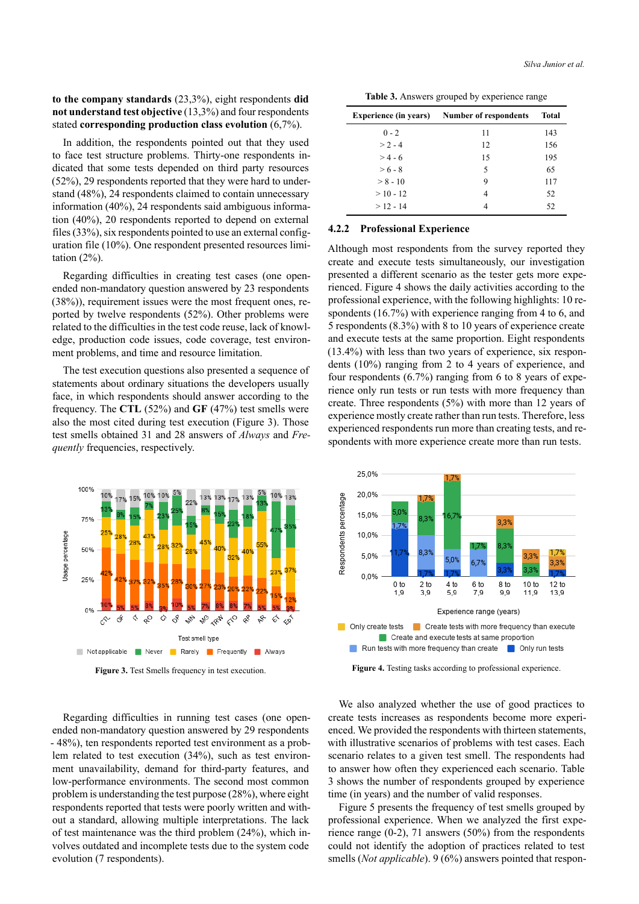### **to the company standards** (23,3%), eight respondents **did not understand test objective** (13,3%) and four respondents stated **corresponding production class evolution** (6,7%).

In addition, the respondents pointed out that they used to face test structure problems. Thirty-one respondents indicated that some tests depended on third party resources (52%), 29 respondents reported that they were hard to understand (48%), 24 respondents claimed to contain unnecessary information (40%), 24 respondents said ambiguous information (40%), 20 respondents reported to depend on external files (33%), six respondents pointed to use an external configuration file (10%). One respondent presented resources limitation (2%).

Regarding difficulties in creating test cases (one openended non-mandatory question answered by 23 respondents (38%)), requirement issues were the most frequent ones, reported by twelve respondents (52%). Other problems were related to the difficulties in the test code reuse, lack of knowledge, production code issues, code coverage, test environment problems, and time and resource limitation.

The test execution questions also presented a sequence of statements about ordinary situations the developers usually face, in which respondents should answer according to the frequency. The **CTL** (52%) and **GF** (47%) test smells were also the most cited during test execution (Figure [3](#page-5-0)). Those test smells obtained 31 and 28 answers of *Always* and *Frequently* frequencies, respectively.

<span id="page-5-0"></span>

**Figure 3.** Test Smells frequency in test execution.

Regarding difficulties in running test cases (one openended non-mandatory question answered by 29 respondents 48%), ten respondents reported test environment as a problem related to test execution (34%), such as test environment unavailability, demand for third-party features, and low-performance environments. The second most common problem is understanding the test purpose (28%), where eight respondents reported that tests were poorly written and without a standard, allowing multiple interpretations. The lack of test maintenance was the third problem (24%), which involves outdated and incomplete tests due to the system code evolution (7 respondents).

|  |  | Table 3. Answers grouped by experience range |  |
|--|--|----------------------------------------------|--|

<span id="page-5-2"></span>

| <b>Experience (in years)</b> | <b>Number of respondents</b> | <b>Total</b> |
|------------------------------|------------------------------|--------------|
| $0 - 2$                      | 11                           | 143          |
| $> 2 - 4$                    | 12                           | 156          |
| $> 4 - 6$                    | 15                           | 195          |
| $> 6 - 8$                    | 5                            | 65           |
| $> 8 - 10$                   | 9                            | 117          |
| $>10 - 12$                   | 4                            | 52           |
| $>12 - 14$                   |                              | 52           |

#### **4.2.2 Professional Experience**

Although most respondents from the survey reported they create and execute tests simultaneously, our investigation presented a different scenario as the tester gets more experienced. Figure [4](#page-5-1) shows the daily activities according to the professional experience, with the following highlights: 10 respondents (16.7%) with experience ranging from 4 to 6, and 5 respondents (8.3%) with 8 to 10 years of experience create and execute tests at the same proportion. Eight respondents (13.4%) with less than two years of experience, six respondents (10%) ranging from 2 to 4 years of experience, and four respondents (6.7%) ranging from 6 to 8 years of experience only run tests or run tests with more frequency than create. Three respondents (5%) with more than 12 years of experience mostly create rather than run tests. Therefore, less experienced respondents run more than creating tests, and respondents with more experience create more than run tests.

<span id="page-5-1"></span>

**Figure 4.** Testing tasks according to professional experience.

We also analyzed whether the use of good practices to create tests increases as respondents become more experienced. We provided the respondents with thirteen statements, with illustrative scenarios of problems with test cases. Each scenario relates to a given test smell. The respondents had to answer how often they experienced each scenario. Table [3](#page-5-2) shows the number of respondents grouped by experience time (in years) and the number of valid responses.

Figure [5](#page-6-1) presents the frequency of test smells grouped by professional experience. When we analyzed the first experience range  $(0-2)$ , 71 answers  $(50\%)$  from the respondents could not identify the adoption of practices related to test smells (*Not applicable*). 9 (6%) answers pointed that respon-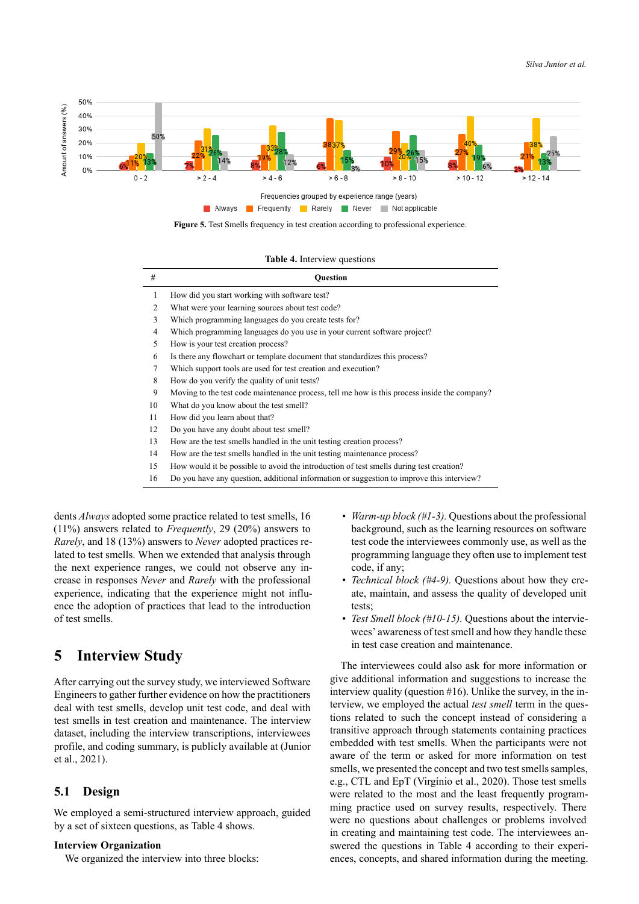<span id="page-6-1"></span>

**Figure 5.** Test Smells frequency in test creation according to professional experience.

#### **Table 4.** Interview questions

<span id="page-6-2"></span>

| #  | <b>Ouestion</b>                                                                              |
|----|----------------------------------------------------------------------------------------------|
| 1  | How did you start working with software test?                                                |
| 2  | What were your learning sources about test code?                                             |
| 3  | Which programming languages do you create tests for?                                         |
| 4  | Which programming languages do you use in your current software project?                     |
| 5  | How is your test creation process?                                                           |
| 6  | Is there any flowchart or template document that standardizes this process?                  |
| 7  | Which support tools are used for test creation and execution?                                |
| 8  | How do you verify the quality of unit tests?                                                 |
| 9  | Moving to the test code maintenance process, tell me how is this process inside the company? |
| 10 | What do you know about the test smell?                                                       |
| 11 | How did you learn about that?                                                                |
| 12 | Do you have any doubt about test smell?                                                      |
| 13 | How are the test smells handled in the unit testing creation process?                        |
| 14 | How are the test smells handled in the unit testing maintenance process?                     |
| 15 | How would it be possible to avoid the introduction of test smells during test creation?      |

16 Do you have any question, additional information or suggestion to improve this interview?

dents *Always* adopted some practice related to test smells, 16 (11%) answers related to *Frequently*, 29 (20%) answers to *Rarely*, and 18 (13%) answers to *Never* adopted practices related to test smells. When we extended that analysis through the next experience ranges, we could not observe any increase in responses *Never* and *Rarely* with the professional experience, indicating that the experience might not influence the adoption of practices that lead to the introduction of test smells.

## <span id="page-6-0"></span>**5 Interview Study**

After carrying out the survey study, we interviewed Software Engineers to gather further evidence on how the practitioners deal with test smells, develop unit test code, and deal with test smells in test creation and maintenance. The interview dataset, including the interview transcriptions, interviewees profile, and coding summary, is publicly available at([Junior](#page-13-15) [et al.,](#page-13-15) [2021\)](#page-13-15).

### **5.1 Design**

We employed a semi-structured interview approach, guided by a set of sixteen questions, as Table [4](#page-6-2) shows.

#### **Interview Organization**

We organized the interview into three blocks:

- *Warm-up block* (#1-3). Questions about the professional background, such as the learning resources on software test code the interviewees commonly use, as well as the programming language they often use to implement test code, if any;
- *Technical block* (#4-9). Questions about how they create, maintain, and assess the quality of developed unit tests;
- *Test Smell block (#10-15)*. Questions about the interviewees' awareness of test smell and how they handle these in test case creation and maintenance.

The interviewees could also ask for more information or give additional information and suggestions to increase the interview quality (question #16). Unlike the survey, in the interview, we employed the actual *test smell* term in the questions related to such the concept instead of considering a transitive approach through statements containing practices embedded with test smells. When the participants were not aware of the term or asked for more information on test smells, we presented the concept and two test smells samples, e.g., CTL and EpT([Virgínio et al.,](#page-14-7) [2020](#page-14-7)). Those test smells were related to the most and the least frequently programming practice used on survey results, respectively. There were no questions about challenges or problems involved in creating and maintaining test code. The interviewees answered the questions in Table [4](#page-6-2) according to their experiences, concepts, and shared information during the meeting.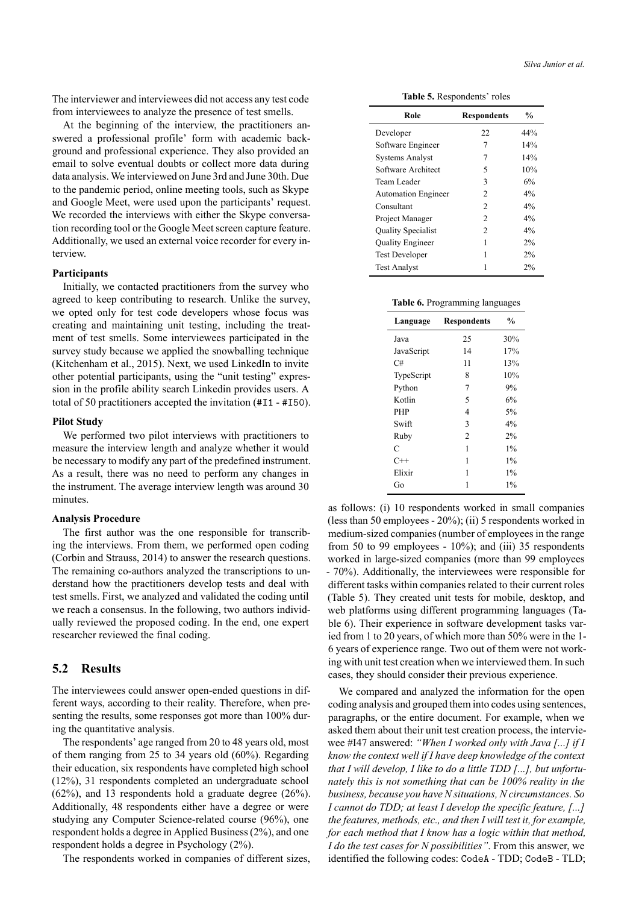The interviewer and interviewees did not access any test code from interviewees to analyze the presence of test smells.

At the beginning of the interview, the practitioners answered a professional profile' form with academic background and professional experience. They also provided an email to solve eventual doubts or collect more data during data analysis. We interviewed on June 3rd and June 30th. Due to the pandemic period, online meeting tools, such as Skype and Google Meet, were used upon the participants' request. We recorded the interviews with either the Skype conversation recording tool or the Google Meet screen capture feature. Additionally, we used an external voice recorder for every interview.

#### **Participants**

Initially, we contacted practitioners from the survey who agreed to keep contributing to research. Unlike the survey, we opted only for test code developers whose focus was creating and maintaining unit testing, including the treatment of test smells. Some interviewees participated in the survey study because we applied the snowballing technique ([Kitchenham et al.,](#page-13-16) [2015\)](#page-13-16). Next, we used LinkedIn to invite other potential participants, using the "unit testing" expression in the profile ability search Linkedin provides users. A total of 50 practitioners accepted the invitation  $(\texttt{#I1 - #I50}).$ 

#### **Pilot Study**

We performed two pilot interviews with practitioners to measure the interview length and analyze whether it would be necessary to modify any part of the predefined instrument. As a result, there was no need to perform any changes in the instrument. The average interview length was around 30 minutes.

#### **Analysis Procedure**

The first author was the one responsible for transcribing the interviews. From them, we performed open coding ([Corbin and Strauss,](#page-13-17) [2014](#page-13-17)) to answer the research questions. The remaining co-authors analyzed the transcriptions to understand how the practitioners develop tests and deal with test smells. First, we analyzed and validated the coding until we reach a consensus. In the following, two authors individually reviewed the proposed coding. In the end, one expert researcher reviewed the final coding.

### **5.2 Results**

The interviewees could answer open-ended questions in different ways, according to their reality. Therefore, when presenting the results, some responses got more than 100% during the quantitative analysis.

The respondents' age ranged from 20 to 48 years old, most of them ranging from 25 to 34 years old (60%). Regarding their education, six respondents have completed high school (12%), 31 respondents completed an undergraduate school (62%), and 13 respondents hold a graduate degree (26%). Additionally, 48 respondents either have a degree or were studying any Computer Science-related course (96%), one respondent holds a degree in Applied Business (2%), and one respondent holds a degree in Psychology (2%).

The respondents worked in companies of different sizes,

**Table 5.** Respondents' roles

<span id="page-7-0"></span>

| Role                       | <b>Respondents</b> | $\frac{6}{9}$ |
|----------------------------|--------------------|---------------|
| Developer                  | 22                 | 44%           |
| Software Engineer          | 7                  | 14%           |
| <b>Systems Analyst</b>     | 7                  | 14%           |
| Software Architect         | 5                  | 10%           |
| Team Leader                | 3                  | 6%            |
| <b>Automation Engineer</b> | 2                  | $4\%$         |
| Consultant                 | 2                  | $4\%$         |
| Project Manager            | $\mathfrak{D}$     | 4%            |
| Quality Specialist         | 2                  | 4%            |
| <b>Quality Engineer</b>    | 1                  | $2\%$         |
| <b>Test Developer</b>      | 1                  | 2%            |
| <b>Test Analyst</b>        |                    | $2\%$         |

|  | Table 6. Programming languages |  |
|--|--------------------------------|--|
|  |                                |  |
|  |                                |  |

<span id="page-7-1"></span>

| Language   | <b>Respondents</b> | $\frac{0}{0}$ |
|------------|--------------------|---------------|
| Java       | 25                 | 30%           |
| JavaScript | 14                 | 17%           |
| C#         | 11                 | 13%           |
| TypeScript | 8                  | 10%           |
| Python     | 7                  | 9%            |
| Kotlin     | 5                  | 6%            |
| <b>PHP</b> | 4                  | 5%            |
| Swift      | 3                  | 4%            |
| Ruby       | $\overline{c}$     | 2%            |
| C          | 1                  | $1\%$         |
| $C++$      | 1                  | $1\%$         |
| Elixir     | 1                  | $1\%$         |
| Go         | 1                  | $1\%$         |

as follows: (i) 10 respondents worked in small companies (less than 50 employees  $-20\%$ ); (ii) 5 respondents worked in medium-sized companies (number of employees in the range from 50 to 99 employees -  $10\%$ ); and (iii) 35 respondents worked in large-sized companies (more than 99 employees 70%). Additionally, the interviewees were responsible for different tasks within companies related to their current roles (Table [5](#page-7-0)). They created unit tests for mobile, desktop, and web platforms using different programming languages (Table [6\)](#page-7-1). Their experience in software development tasks varied from 1 to 20 years, of which more than 50% were in the 1 6 years of experience range. Two out of them were not working with unit test creation when we interviewed them. In such cases, they should consider their previous experience.

We compared and analyzed the information for the open coding analysis and grouped them into codes using sentences, paragraphs, or the entire document. For example, when we asked them about their unit test creation process, the interviewee #I47 answered: *"When I worked only with Java [...] if I know the context well if I have deep knowledge of the context that I will develop, I like to do a little TDD [...], but unfortunately this is not something that can be 100% reality in the business, because you have N situations, N circumstances. So I cannot do TDD; at least I develop the specific feature, [...] the features, methods, etc., and then I will test it, for example, for each method that I know has a logic within that method, I do the test cases for N possibilities"*. From this answer, we identified the following codes: CodeA - TDD; CodeB - TLD;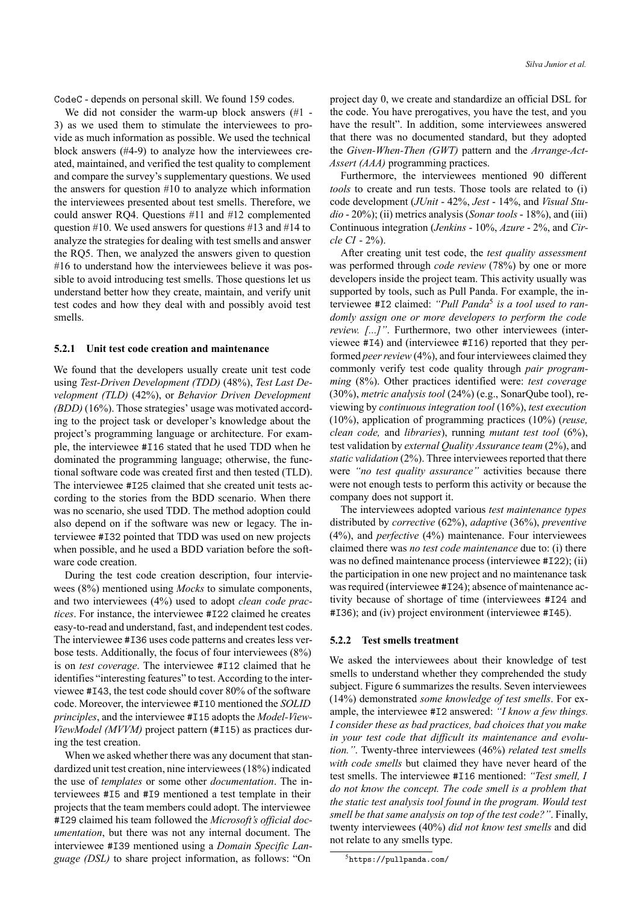CodeC depends on personal skill. We found 159 codes.

We did not consider the warm-up block answers  $(\#1 -$ 3) as we used them to stimulate the interviewees to provide as much information as possible. We used the technical block answers  $(\#4-9)$  to analyze how the interviewees created, maintained, and verified the test quality to complement and compare the survey's supplementary questions. We used the answers for question #10 to analyze which information the interviewees presented about test smells. Therefore, we could answer RQ4. Questions #11 and #12 complemented question #10. We used answers for questions #13 and #14 to analyze the strategies for dealing with test smells and answer the RQ5. Then, we analyzed the answers given to question #16 to understand how the interviewees believe it was possible to avoid introducing test smells. Those questions let us understand better how they create, maintain, and verify unit test codes and how they deal with and possibly avoid test smells.

#### **5.2.1 Unit test code creation and maintenance**

We found that the developers usually create unit test code using *Test-Driven Development (TDD)* (48%), *Test Last Development (TLD)* (42%), or *Behavior Driven Development (BDD)* (16%). Those strategies' usage was motivated according to the project task or developer's knowledge about the project's programming language or architecture. For example, the interviewee #I16 stated that he used TDD when he dominated the programming language; otherwise, the functional software code was created first and then tested (TLD). The interviewee #I25 claimed that she created unit tests according to the stories from the BDD scenario. When there was no scenario, she used TDD. The method adoption could also depend on if the software was new or legacy. The interviewee #I32 pointed that TDD was used on new projects when possible, and he used a BDD variation before the software code creation.

During the test code creation description, four interviewees (8%) mentioned using *Mocks* to simulate components, and two interviewees (4%) used to adopt *clean code practices*. For instance, the interviewee #I22 claimed he creates easy-to-read and understand, fast, and independent test codes. The interviewee #I36 uses code patterns and creates less verbose tests. Additionally, the focus of four interviewees (8%) is on *test coverage*. The interviewee #I12 claimed that he identifies "interesting features" to test. According to the interviewee #I43, the test code should cover 80% of the software code. Moreover, the interviewee #I10 mentioned the *SOLID principles*, and the interviewee #115 adopts the *Model-View-ViewModel (MVVM)* project pattern (#I15) as practices during the test creation.

When we asked whether there was any document that standardized unit test creation, nine interviewees (18%) indicated the use of *templates* or some other *documentation*. The interviewees #I5 and #I9 mentioned a test template in their projects that the team members could adopt. The interviewee #I29 claimed his team followed the *Microsoft's official documentation*, but there was not any internal document. The interviewee #I39 mentioned using a *Domain Specific Language (DSL)* to share project information, as follows: "On

project day 0, we create and standardize an official DSL for the code. You have prerogatives, you have the test, and you have the result". In addition, some interviewees answered that there was no documented standard, but they adopted the *Given-When-Then (GWT)* pattern and the *Arrange-Act-Assert (AAA)* programming practices.

Furthermore, the interviewees mentioned 90 different *tools* to create and run tests. Those tools are related to (i) code development (*JUnit* 42%, *Jest* 14%, and *Visual Studio* - 20%); (ii) metrics analysis (*Sonar tools* - 18%), and (iii) Continuous integration (*Jenkins* - 10%, *Azure* - 2%, and *Circle CI* 2%).

After creating unit test code, the *test quality assessment* was performed through *code review* (78%) by one or more developers inside the project team. This activity usually was supported by tools, such as Pull Panda. For example, the interviewee #I2 claimed: *"Pull Panda*5 *is a tool used to randomly assign one or more developers to perform the code review. [...]"*. Furthermore, two other interviewees (interviewee #I4) and (interviewee #I16) reported that they performed *peer review* (4%), and four interviewees claimed they commonly verify test code quality through *pair programming* (8%). Other practices identified were: *test coverage* (30%), *metric analysis tool* (24%) (e.g., SonarQube tool), reviewing by *continuous integration tool* (16%), *test execution* (10%), application of programming practices (10%) (*reuse, clean code,* and *libraries*), running *mutant test tool* (6%), test validation by *external Quality Assurance team* (2%), and *static validation* (2%). Three interviewees reported that there were *"no test quality assurance"* activities because there were not enough tests to perform this activity or because the company does not support it.

The interviewees adopted various *test maintenance types* distributed by *corrective* (62%), *adaptive* (36%), *preventive* (4%), and *perfective* (4%) maintenance. Four interviewees claimed there was *no test code maintenance* due to: (i) there was no defined maintenance process (interviewee #I22); (ii) the participation in one new project and no maintenance task was required (interviewee #I24); absence of maintenance activity because of shortage of time (interviewees #I24 and #I36); and (iv) project environment (interviewee #I45).

#### **5.2.2 Test smells treatment**

We asked the interviewees about their knowledge of test smells to understand whether they comprehended the study subject. Figure [6](#page-9-1) summarizes the results. Seven interviewees (14%) demonstrated *some knowledge of test smells*. For example, the interviewee #I2 answered: *"I know a few things. I consider these as bad practices, bad choices that you make in your test code that difficult its maintenance and evolution."*. Twenty-three interviewees (46%) *related test smells with code smells* but claimed they have never heard of the test smells. The interviewee #I16 mentioned: *"Test smell, I do not know the concept. The code smell is a problem that the static test analysis tool found in the program. Would test smell be that same analysis on top of the test code?"*. Finally, twenty interviewees (40%) *did not know test smells* and did not relate to any smells type.

<sup>5</sup><https://pullpanda.com/>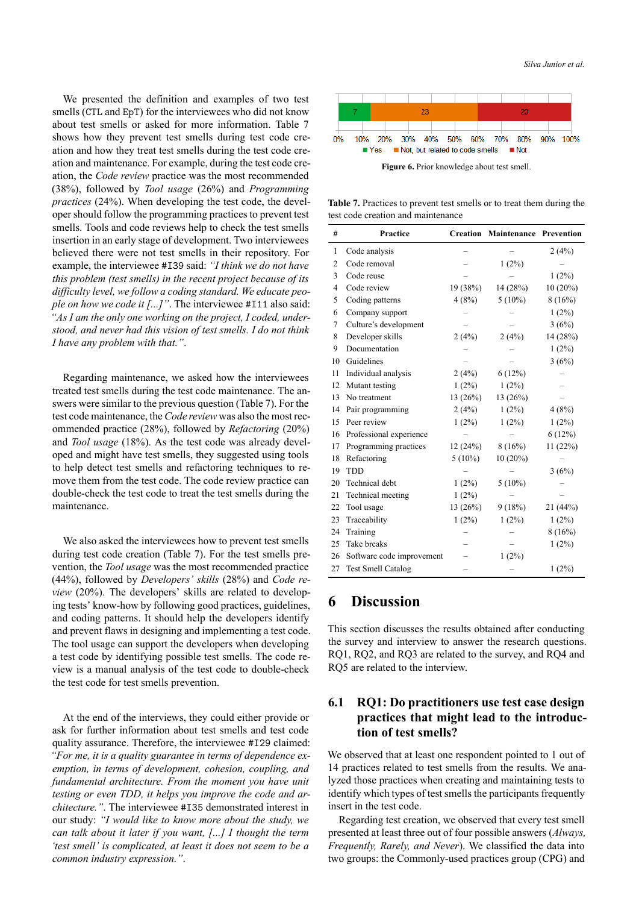We presented the definition and examples of two test smells (CTL and EpT) for the interviewees who did not know about test smells or asked for more information. Table [7](#page-9-2) shows how they prevent test smells during test code creation and how they treat test smells during the test code creation and maintenance. For example, during the test code creation, the *Code review* practice was the most recommended (38%), followed by *Tool usage* (26%) and *Programming practices* (24%). When developing the test code, the developer should follow the programming practices to prevent test smells. Tools and code reviews help to check the test smells insertion in an early stage of development. Two interviewees believed there were not test smells in their repository. For example, the interviewee #I39 said: *"I think we do not have this problem (test smells) in the recent project because of its difficulty level, we follow a coding standard. We educate people on how we code it [...]"*. The interviewee #I11 also said: *"As I am the only one working on the project, I coded, understood, and never had this vision of test smells. I do not think I have any problem with that."*.

Regarding maintenance, we asked how the interviewees treated test smells during the test code maintenance. The answers were similar to the previous question (Table [7](#page-9-2)). For the test code maintenance, the *Code review* was also the most recommended practice (28%), followed by *Refactoring* (20%) and *Tool usage* (18%). As the test code was already developed and might have test smells, they suggested using tools to help detect test smells and refactoring techniques to remove them from the test code. The code review practice can double-check the test code to treat the test smells during the maintenance.

We also asked the interviewees how to prevent test smells during test code creation (Table [7](#page-9-2)). For the test smells prevention, the *Tool usage* was the most recommended practice (44%), followed by *Developers' skills* (28%) and *Code review* (20%). The developers' skills are related to developing tests' know-how by following good practices, guidelines, and coding patterns. It should help the developers identify and prevent flaws in designing and implementing a test code. The tool usage can support the developers when developing a test code by identifying possible test smells. The code review is a manual analysis of the test code to double-check the test code for test smells prevention.

At the end of the interviews, they could either provide or ask for further information about test smells and test code quality assurance. Therefore, the interviewee #I29 claimed: *"For me, it is a quality guarantee in terms of dependence exemption, in terms of development, cohesion, coupling, and fundamental architecture. From the moment you have unit testing or even TDD, it helps you improve the code and architecture."*. The interviewee #I35 demonstrated interest in our study: *"I would like to know more about the study, we can talk about it later if you want, [...] I thought the term 'test smell' is complicated, at least it does not seem to be a common industry expression."*.

<span id="page-9-1"></span>

**Figure 6.** Prior knowledge about test smell.

<span id="page-9-2"></span>**Table 7.** Practices to prevent test smells or to treat them during the test code creation and maintenance

| #              | <b>Practice</b>           |           | <b>Creation Maintenance Prevention</b> |            |
|----------------|---------------------------|-----------|----------------------------------------|------------|
| 1              | Code analysis             |           |                                        | 2(4%)      |
| $\overline{2}$ | Code removal              |           | $1(2\%)$                               |            |
| 3              | Code reuse                |           |                                        | $1(2\%)$   |
| $\overline{4}$ | Code review               | 19(38%)   | 14 (28%)                               | $10(20\%)$ |
| 5              | Coding patterns           | 4(8%)     | $5(10\%)$                              | 8(16%)     |
| 6              | Company support           |           |                                        | 1(2%)      |
| 7              | Culture's development     |           |                                        | 3(6%)      |
| 8              | Developer skills          | 2(4%)     | 2(4%)                                  | 14 (28%)   |
| 9              | Documentation             |           |                                        | 1(2%)      |
| 10             | Guidelines                |           |                                        | 3(6%)      |
| 11             | Individual analysis       | 2(4%)     | 6(12%)                                 |            |
| 12             | Mutant testing            | $1(2\%)$  | $1(2\%)$                               |            |
| 13             | No treatment              | 13 (26%)  | 13 (26%)                               |            |
| 14             | Pair programming          | 2(4%)     | 1(2%)                                  | 4(8%)      |
| 15             | Peer review               | 1(2%)     | 1(2%)                                  | 1(2%)      |
| 16             | Professional experience   |           |                                        | 6(12%)     |
| 17             | Programming practices     | 12(24%)   | 8(16%)                                 | 11 (22%)   |
| 18             | Refactoring               | $5(10\%)$ | $10(20\%)$                             |            |
| 19             | <b>TDD</b>                |           |                                        | 3(6%)      |
| 20             | Technical debt            | 1(2%)     | $5(10\%)$                              |            |
| 21             | Technical meeting         | 1(2%)     |                                        |            |
| 22             | Tool usage                | 13(26%)   | 9(18%)                                 | 21 (44%)   |
| 23             | Traceability              | 1(2%)     | 1(2%)                                  | 1(2%)      |
| 24             | Training                  |           |                                        | 8(16%)     |
| 25             | Take breaks               |           |                                        | 1(2%)      |
| 26             | Software code improvement |           | 1(2%)                                  |            |
| 27             | <b>Test Smell Catalog</b> |           |                                        | 1(2%)      |

## <span id="page-9-0"></span>**6 Discussion**

This section discusses the results obtained after conducting the survey and interview to answer the research questions. RQ1, RQ2, and RQ3 are related to the survey, and RQ4 and RQ5 are related to the interview.

### **6.1 RQ1: Do practitioners use test case design practices that might lead to the introduction of test smells?**

We observed that at least one respondent pointed to 1 out of 14 practices related to test smells from the results. We analyzed those practices when creating and maintaining tests to identify which types of test smells the participants frequently insert in the test code.

Regarding test creation, we observed that every test smell presented at least three out of four possible answers (*Always, Frequently, Rarely, and Never*). We classified the data into two groups: the Commonly-used practices group (CPG) and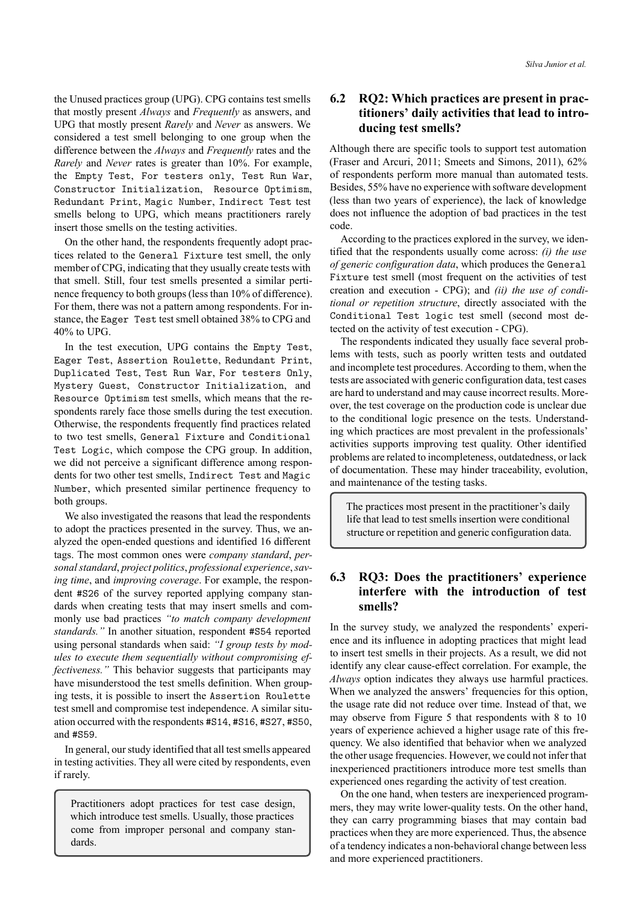the Unused practices group (UPG). CPG contains test smells that mostly present *Always* and *Frequently* as answers, and UPG that mostly present *Rarely* and *Never* as answers. We considered a test smell belonging to one group when the difference between the *Always* and *Frequently* rates and the *Rarely* and *Never* rates is greater than 10%. For example, the Empty Test, For testers only, Test Run War, Constructor Initialization, Resource Optimism, Redundant Print, Magic Number, Indirect Test test smells belong to UPG, which means practitioners rarely insert those smells on the testing activities.

On the other hand, the respondents frequently adopt practices related to the General Fixture test smell, the only member of CPG, indicating that they usually create tests with that smell. Still, four test smells presented a similar pertinence frequency to both groups (less than 10% of difference). For them, there was not a pattern among respondents. For instance, the Eager Test test smell obtained 38% to CPG and 40% to UPG.

In the test execution, UPG contains the Empty Test, Eager Test, Assertion Roulette, Redundant Print, Duplicated Test, Test Run War, For testers Only, Mystery Guest, Constructor Initialization, and Resource Optimism test smells, which means that the respondents rarely face those smells during the test execution. Otherwise, the respondents frequently find practices related to two test smells, General Fixture and Conditional Test Logic, which compose the CPG group. In addition, we did not perceive a significant difference among respondents for two other test smells, Indirect Test and Magic Number, which presented similar pertinence frequency to both groups.

We also investigated the reasons that lead the respondents to adopt the practices presented in the survey. Thus, we analyzed the open-ended questions and identified 16 different tags. The most common ones were *company standard*, *personal standard*, *project politics*, *professional experience*,*saving time*, and *improving coverage*. For example, the respondent #S26 of the survey reported applying company standards when creating tests that may insert smells and commonly use bad practices *"to match company development standards."* In another situation, respondent #S54 reported using personal standards when said: *"I group tests by modules to execute them sequentially without compromising effectiveness."* This behavior suggests that participants may have misunderstood the test smells definition. When grouping tests, it is possible to insert the Assertion Roulette test smell and compromise test independence. A similar situation occurred with the respondents #S14, #S16, #S27, #S50, and #S59.

In general, our study identified that all test smells appeared in testing activities. They all were cited by respondents, even if rarely.

Practitioners adopt practices for test case design, which introduce test smells. Usually, those practices come from improper personal and company standards.

## **6.2 RQ2: Which practices are present in practitioners' daily activities that lead to introducing test smells?**

Although there are specific tools to support test automation [\(Fraser and Arcuri,](#page-13-18) [2011;](#page-13-18) [Smeets and Simons](#page-14-8), [2011](#page-14-8)), 62% of respondents perform more manual than automated tests. Besides, 55% have no experience with software development (less than two years of experience), the lack of knowledge does not influence the adoption of bad practices in the test code.

According to the practices explored in the survey, we identified that the respondents usually come across: *(i) the use of generic configuration data*, which produces the General Fixture test smell (most frequent on the activities of test creation and execution CPG); and *(ii) the use of conditional or repetition structure*, directly associated with the Conditional Test logic test smell (second most detected on the activity of test execution CPG).

The respondents indicated they usually face several problems with tests, such as poorly written tests and outdated and incomplete test procedures. According to them, when the tests are associated with generic configuration data, test cases are hard to understand and may cause incorrect results. Moreover, the test coverage on the production code is unclear due to the conditional logic presence on the tests. Understanding which practices are most prevalent in the professionals' activities supports improving test quality. Other identified problems are related to incompleteness, outdatedness, or lack of documentation. These may hinder traceability, evolution, and maintenance of the testing tasks.

The practices most present in the practitioner's daily life that lead to test smells insertion were conditional structure or repetition and generic configuration data.

### **6.3 RQ3: Does the practitioners' experience interfere with the introduction of test smells?**

In the survey study, we analyzed the respondents' experience and its influence in adopting practices that might lead to insert test smells in their projects. As a result, we did not identify any clear cause-effect correlation. For example, the *Always* option indicates they always use harmful practices. When we analyzed the answers' frequencies for this option, the usage rate did not reduce over time. Instead of that, we may observe from Figure [5](#page-6-1) that respondents with 8 to 10 years of experience achieved a higher usage rate of this frequency. We also identified that behavior when we analyzed the other usage frequencies. However, we could not infer that inexperienced practitioners introduce more test smells than experienced ones regarding the activity of test creation.

On the one hand, when testers are inexperienced programmers, they may write lower-quality tests. On the other hand, they can carry programming biases that may contain bad practices when they are more experienced. Thus, the absence of a tendency indicates a non-behavioral change between less and more experienced practitioners.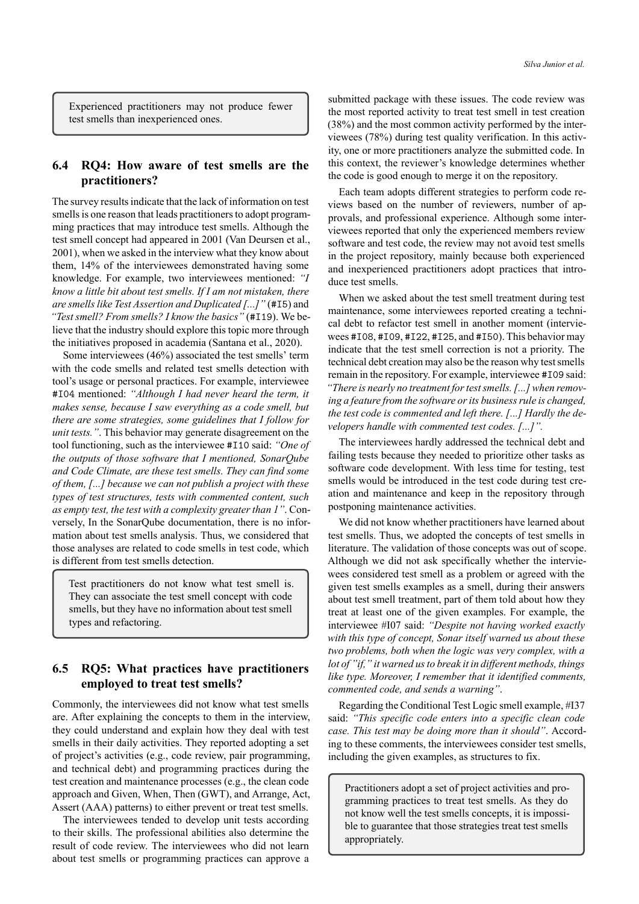Experienced practitioners may not produce fewer test smells than inexperienced ones.

### **6.4 RQ4: How aware of test smells are the practitioners?**

The survey results indicate that the lack of information on test smells is one reason that leads practitioners to adopt programming practices that may introduce test smells. Although the test smell concept had appeared in 2001([Van Deursen et al.,](#page-14-4) [2001\)](#page-14-4), when we asked in the interview what they know about them, 14% of the interviewees demonstrated having some knowledge. For example, two interviewees mentioned: *"I know a little bit about test smells. If I am not mistaken, there are smells like Test Assertion and Duplicated [...]"* (#I5) and *"Test smell? From smells? I know the basics"* (#I19). We believe that the industry should explore this topic more through the initiatives proposed in academia([Santana et al.](#page-13-19), [2020](#page-13-19)).

Some interviewees (46%) associated the test smells' term with the code smells and related test smells detection with tool's usage or personal practices. For example, interviewee #I04 mentioned: *"Although I had never heard the term, it makes sense, because I saw everything as a code smell, but there are some strategies, some guidelines that I follow for unit tests."*. This behavior may generate disagreement on the tool functioning, such as the interviewee #I10 said: *"One of the outputs of those software that I mentioned, SonarQube and Code Climate, are these test smells. They can find some of them, [...] because we can not publish a project with these types of test structures, tests with commented content, such as empty test, the test with a complexity greater than 1"*. Conversely, In the SonarQube documentation, there is no information about test smells analysis. Thus, we considered that those analyses are related to code smells in test code, which is different from test smells detection.

Test practitioners do not know what test smell is. They can associate the test smell concept with code smells, but they have no information about test smell types and refactoring.

### **6.5 RQ5: What practices have practitioners employed to treat test smells?**

Commonly, the interviewees did not know what test smells are. After explaining the concepts to them in the interview, they could understand and explain how they deal with test smells in their daily activities. They reported adopting a set of project's activities (e.g., code review, pair programming, and technical debt) and programming practices during the test creation and maintenance processes (e.g., the clean code approach and Given, When, Then (GWT), and Arrange, Act, Assert (AAA) patterns) to either prevent or treat test smells.

The interviewees tended to develop unit tests according to their skills. The professional abilities also determine the result of code review. The interviewees who did not learn about test smells or programming practices can approve a

submitted package with these issues. The code review was the most reported activity to treat test smell in test creation (38%) and the most common activity performed by the interviewees (78%) during test quality verification. In this activity, one or more practitioners analyze the submitted code. In this context, the reviewer's knowledge determines whether the code is good enough to merge it on the repository.

Each team adopts different strategies to perform code reviews based on the number of reviewers, number of approvals, and professional experience. Although some interviewees reported that only the experienced members review software and test code, the review may not avoid test smells in the project repository, mainly because both experienced and inexperienced practitioners adopt practices that introduce test smells.

When we asked about the test smell treatment during test maintenance, some interviewees reported creating a technical debt to refactor test smell in another moment (interviewees #I08, #I09, #I22, #I25, and #I50). This behavior may indicate that the test smell correction is not a priority. The technical debt creation may also be the reason why test smells remain in the repository. For example, interviewee #I09 said: *"There is nearly no treatment for test smells. [...] when removing a feature from the software or its business rule is changed, the test code is commented and left there. [...] Hardly the developers handle with commented test codes. [...]".*

The interviewees hardly addressed the technical debt and failing tests because they needed to prioritize other tasks as software code development. With less time for testing, test smells would be introduced in the test code during test creation and maintenance and keep in the repository through postponing maintenance activities.

We did not know whether practitioners have learned about test smells. Thus, we adopted the concepts of test smells in literature. The validation of those concepts was out of scope. Although we did not ask specifically whether the interviewees considered test smell as a problem or agreed with the given test smells examples as a smell, during their answers about test smell treatment, part of them told about how they treat at least one of the given examples. For example, the interviewee #I07 said: *"Despite not having worked exactly with this type of concept, Sonar itself warned us about these two problems, both when the logic was very complex, with a lot of "if," it warned us to break it in different methods, things like type. Moreover, I remember that it identified comments, commented code, and sends a warning"*.

Regarding the Conditional Test Logic smell example, #I37 said: *"This specific code enters into a specific clean code case. This test may be doing more than it should"*. According to these comments, the interviewees consider test smells, including the given examples, as structures to fix.

Practitioners adopt a set of project activities and programming practices to treat test smells. As they do not know well the test smells concepts, it is impossible to guarantee that those strategies treat test smells appropriately.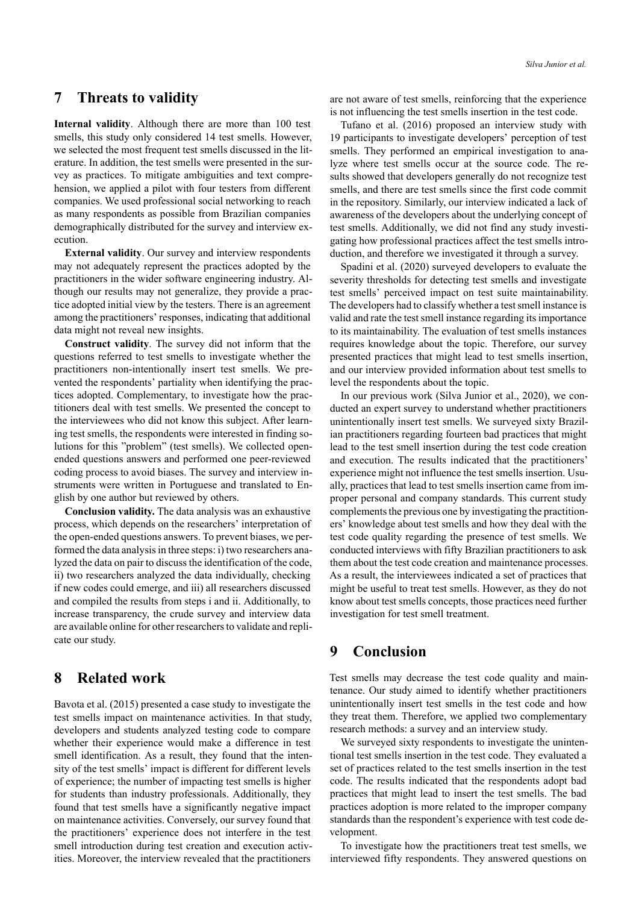### <span id="page-12-0"></span>**7 Threats to validity**

**Internal validity**. Although there are more than 100 test smells, this study only considered 14 test smells. However, we selected the most frequent test smells discussed in the literature. In addition, the test smells were presented in the survey as practices. To mitigate ambiguities and text comprehension, we applied a pilot with four testers from different companies. We used professional social networking to reach as many respondents as possible from Brazilian companies demographically distributed for the survey and interview execution.

**External validity**. Our survey and interview respondents may not adequately represent the practices adopted by the practitioners in the wider software engineering industry. Although our results may not generalize, they provide a practice adopted initial view by the testers. There is an agreement among the practitioners' responses, indicating that additional data might not reveal new insights.

**Construct validity**. The survey did not inform that the questions referred to test smells to investigate whether the practitioners non-intentionally insert test smells. We prevented the respondents' partiality when identifying the practices adopted. Complementary, to investigate how the practitioners deal with test smells. We presented the concept to the interviewees who did not know this subject. After learning test smells, the respondents were interested in finding solutions for this "problem" (test smells). We collected openended questions answers and performed one peer-reviewed coding process to avoid biases. The survey and interview instruments were written in Portuguese and translated to English by one author but reviewed by others.

**Conclusion validity.** The data analysis was an exhaustive process, which depends on the researchers' interpretation of the open-ended questions answers. To prevent biases, we performed the data analysis in three steps: i) two researchers analyzed the data on pair to discuss the identification of the code, ii) two researchers analyzed the data individually, checking if new codes could emerge, and iii) all researchers discussed and compiled the results from steps i and ii. Additionally, to increase transparency, the crude survey and interview data are available online for other researchers to validate and replicate our study.

## <span id="page-12-1"></span>**8 Related work**

[Bavota et al.](#page-13-7) ([2015\)](#page-13-7) presented a case study to investigate the test smells impact on maintenance activities. In that study, developers and students analyzed testing code to compare whether their experience would make a difference in test smell identification. As a result, they found that the intensity of the test smells' impact is different for different levels of experience; the number of impacting test smells is higher for students than industry professionals. Additionally, they found that test smells have a significantly negative impact on maintenance activities. Conversely, our survey found that the practitioners' experience does not interfere in the test smell introduction during test creation and execution activities. Moreover, the interview revealed that the practitioners

are not aware of test smells, reinforcing that the experience is not influencing the test smells insertion in the test code.

[Tufano et al.](#page-14-9) ([2016\)](#page-14-9) proposed an interview study with 19 participants to investigate developers' perception of test smells. They performed an empirical investigation to analyze where test smells occur at the source code. The results showed that developers generally do not recognize test smells, and there are test smells since the first code commit in the repository. Similarly, our interview indicated a lack of awareness of the developers about the underlying concept of test smells. Additionally, we did not find any study investigating how professional practices affect the test smells introduction, and therefore we investigated it through a survey.

[Spadini et al.](#page-14-10) ([2020\)](#page-14-10) surveyed developers to evaluate the severity thresholds for detecting test smells and investigate test smells' perceived impact on test suite maintainability. The developers had to classify whether a test smell instance is valid and rate the test smell instance regarding its importance to its maintainability. The evaluation of test smells instances requires knowledge about the topic. Therefore, our survey presented practices that might lead to test smells insertion, and our interview provided information about test smells to level the respondents about the topic.

In our previous work([Silva Junior et al.](#page-13-4), [2020\)](#page-13-4), we conducted an expert survey to understand whether practitioners unintentionally insert test smells. We surveyed sixty Brazilian practitioners regarding fourteen bad practices that might lead to the test smell insertion during the test code creation and execution. The results indicated that the practitioners' experience might not influence the test smells insertion. Usually, practices that lead to test smells insertion came from improper personal and company standards. This current study complements the previous one by investigating the practitioners' knowledge about test smells and how they deal with the test code quality regarding the presence of test smells. We conducted interviews with fifty Brazilian practitioners to ask them about the test code creation and maintenance processes. As a result, the interviewees indicated a set of practices that might be useful to treat test smells. However, as they do not know about test smells concepts, those practices need further investigation for test smell treatment.

## <span id="page-12-2"></span>**9 Conclusion**

Test smells may decrease the test code quality and maintenance. Our study aimed to identify whether practitioners unintentionally insert test smells in the test code and how they treat them. Therefore, we applied two complementary research methods: a survey and an interview study.

We surveyed sixty respondents to investigate the unintentional test smells insertion in the test code. They evaluated a set of practices related to the test smells insertion in the test code. The results indicated that the respondents adopt bad practices that might lead to insert the test smells. The bad practices adoption is more related to the improper company standards than the respondent's experience with test code development.

To investigate how the practitioners treat test smells, we interviewed fifty respondents. They answered questions on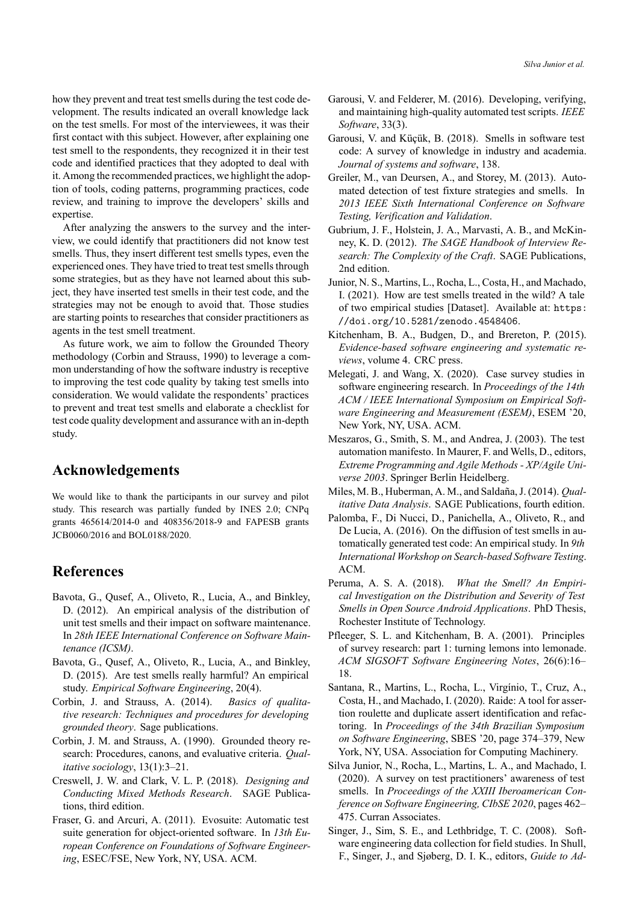how they prevent and treat test smells during the test code development. The results indicated an overall knowledge lack on the test smells. For most of the interviewees, it was their first contact with this subject. However, after explaining one test smell to the respondents, they recognized it in their test code and identified practices that they adopted to deal with it. Among the recommended practices, we highlight the adoption of tools, coding patterns, programming practices, code review, and training to improve the developers' skills and expertise.

After analyzing the answers to the survey and the interview, we could identify that practitioners did not know test smells. Thus, they insert different test smells types, even the experienced ones. They have tried to treat test smells through some strategies, but as they have not learned about this subject, they have inserted test smells in their test code, and the strategies may not be enough to avoid that. Those studies are starting points to researches that consider practitioners as agents in the test smell treatment.

As future work, we aim to follow the Grounded Theory methodology [\(Corbin and Strauss,](#page-13-20) [1990\)](#page-13-20) to leverage a common understanding of how the software industry is receptive to improving the test code quality by taking test smells into consideration. We would validate the respondents' practices to prevent and treat test smells and elaborate a checklist for test code quality development and assurance with an in-depth study.

## **Acknowledgements**

We would like to thank the participants in our survey and pilot study. This research was partially funded by INES 2.0; CNPq grants 465614/2014-0 and 408356/2018-9 and FAPESB grants JCB0060/2016 and BOL0188/2020.

## **References**

- <span id="page-13-6"></span>Bavota, G., Qusef, A., Oliveto, R., Lucia, A., and Binkley, D. (2012). An empirical analysis of the distribution of unit test smells and their impact on software maintenance. In *28th IEEE International Conference on Software Maintenance (ICSM)*.
- <span id="page-13-7"></span>Bavota, G., Qusef, A., Oliveto, R., Lucia, A., and Binkley, D. (2015). Are test smells really harmful? An empirical study. *Empirical Software Engineering*, 20(4).
- <span id="page-13-17"></span>Corbin, J. and Strauss, A. (2014). *Basics of qualitative research: Techniques and procedures for developing grounded theory*. Sage publications.
- <span id="page-13-20"></span>Corbin, J. M. and Strauss, A. (1990). Grounded theory research: Procedures, canons, and evaluative criteria. *Qualitative sociology*, 13(1):3–21.
- <span id="page-13-13"></span>Creswell, J. W. and Clark, V. L. P. (2018). *Designing and Conducting Mixed Methods Research*. SAGE Publications, third edition.
- <span id="page-13-18"></span>Fraser, G. and Arcuri, A. (2011). Evosuite: Automatic test suite generation for object-oriented software. In *13th European Conference on Foundations of Software Engineering*, ESEC/FSE, New York, NY, USA. ACM.
- <span id="page-13-0"></span>Garousi, V. and Felderer, M. (2016). Developing, verifying, and maintaining high-quality automated test scripts. *IEEE Software*, 33(3).
- <span id="page-13-1"></span>Garousi, V. and Küçük, B. (2018). Smells in software test code: A survey of knowledge in industry and academia. *Journal of systems and software*, 138.
- <span id="page-13-3"></span>Greiler, M., van Deursen, A., and Storey, M. (2013). Automated detection of test fixture strategies and smells. In *2013 IEEE Sixth International Conference on Software Testing, Verification and Validation*.
- <span id="page-13-12"></span>Gubrium, J. F., Holstein, J. A., Marvasti, A. B., and McKinney, K. D. (2012). *The SAGE Handbook of Interview Research: The Complexity of the Craft*. SAGE Publications, 2nd edition.
- <span id="page-13-15"></span>Junior, N. S., Martins, L., Rocha, L., Costa, H., and Machado, I. (2021). How are test smells treated in the wild? A tale of two empirical studies [Dataset]. Available at: [https:](https://doi.org/10.5281/zenodo.4548406) [//doi.org/10.5281/zenodo.4548406](https://doi.org/10.5281/zenodo.4548406).
- <span id="page-13-16"></span>Kitchenham, B. A., Budgen, D., and Brereton, P. (2015). Evidence-based software engineering and systematic re*views*, volume 4. CRC press.
- <span id="page-13-14"></span>Melegati, J. and Wang, X. (2020). Case survey studies in software engineering research. In *Proceedings of the 14th ACM / IEEE International Symposium on Empirical Software Engineering and Measurement (ESEM)*, ESEM '20, New York, NY, USA. ACM.
- <span id="page-13-2"></span>Meszaros, G., Smith, S. M., and Andrea, J. (2003). The test automation manifesto. In Maurer, F. and Wells, D., editors, *Extreme Programming and Agile Methods XP/Agile Universe 2003*. Springer Berlin Heidelberg.
- <span id="page-13-9"></span>Miles, M. B., Huberman, A. M., and Saldaña, J. (2014). *Qualitative Data Analysis*. SAGE Publications, fourth edition.
- <span id="page-13-5"></span>Palomba, F., Di Nucci, D., Panichella, A., Oliveto, R., and De Lucia, A. (2016). On the diffusion of test smells in automatically generated test code: An empirical study. In *9th* **International Workshop on Search-based Software Testing.** ACM.
- <span id="page-13-8"></span>Peruma, A. S. A. (2018). *What the Smell? An Empirical Investigation on the Distribution and Severity of Test Smells in Open Source Android Applications*. PhD Thesis, Rochester Institute of Technology.
- <span id="page-13-10"></span>Pfleeger, S. L. and Kitchenham, B. A. (2001). Principles of survey research: part 1: turning lemons into lemonade. *ACM SIGSOFT Software Engineering Notes*, 26(6):16– 18.
- <span id="page-13-19"></span>Santana, R., Martins, L., Rocha, L., Virgínio, T., Cruz, A., Costa, H., and Machado, I. (2020). Raide: A tool for assertion roulette and duplicate assert identification and refactoring. In *Proceedings of the 34th Brazilian Symposium on Software Engineering*, SBES '20, page 374–379, New York, NY, USA. Association for Computing Machinery.
- <span id="page-13-4"></span>Silva Junior, N., Rocha, L., Martins, L. A., and Machado, I. (2020). A survey on test practitioners' awareness of test smells. In *Proceedings of the XXIII Iberoamerican Conference on Software Engineering, CIbSE 2020*, pages 462– 475. Curran Associates.
- <span id="page-13-11"></span>Singer, J., Sim, S. E., and Lethbridge, T. C. (2008). Software engineering data collection for field studies. In Shull, F., Singer, J., and Sjøberg, D. I. K., editors, *Guide to Ad*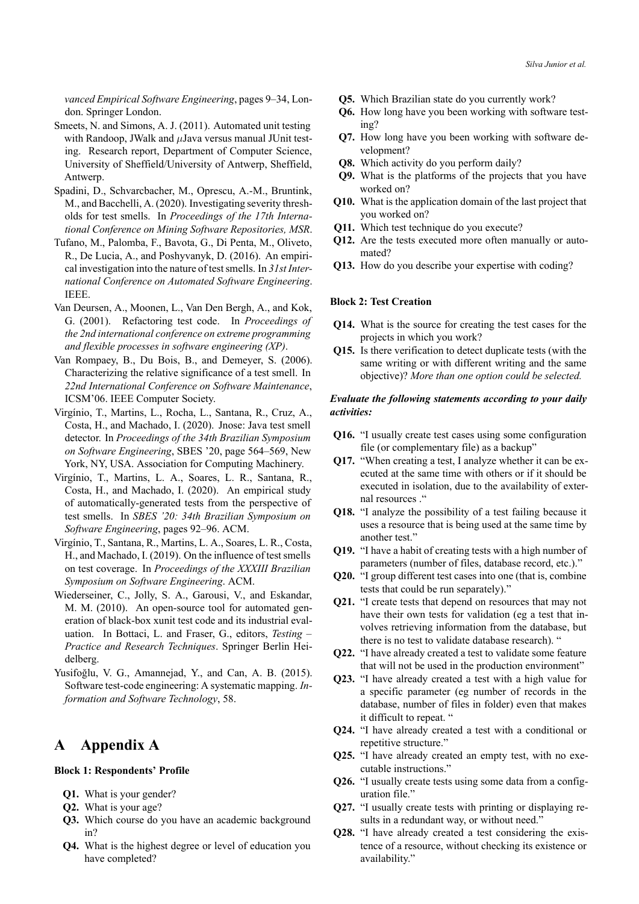*vanced Empirical Software Engineering*, pages 9–34, London. Springer London.

- <span id="page-14-8"></span>Smeets, N. and Simons, A. J. (2011). Automated unit testing with Randoop, JWalk and *µJava versus manual JUnit test*ing. Research report, Department of Computer Science, University of Sheffield/University of Antwerp, Sheffield, Antwerp.
- <span id="page-14-10"></span>Spadini, D., Schvarcbacher, M., Oprescu, A.-M., Bruntink, M., and Bacchelli, A. (2020). Investigating severity thresholds for test smells. In *Proceedings of the 17th International Conference on Mining Software Repositories, MSR*.
- <span id="page-14-9"></span>Tufano, M., Palomba, F., Bavota, G., Di Penta, M., Oliveto, R., De Lucia, A., and Poshyvanyk, D. (2016). An empirical investigation into the nature of test smells. In *31st International Conference on Automated Software Engineering*. IEEE.
- <span id="page-14-4"></span>Van Deursen, A., Moonen, L., Van Den Bergh, A., and Kok, G. (2001). Refactoring test code. In *Proceedings of the 2nd international conference on extreme programming and flexible processes in software engineering (XP)*.
- <span id="page-14-2"></span>Van Rompaey, B., Du Bois, B., and Demeyer, S. (2006). Characterizing the relative significance of a test smell. In *22nd International Conference on Software Maintenance*, ICSM'06. IEEE Computer Society.
- <span id="page-14-7"></span>Virgínio, T., Martins, L., Rocha, L., Santana, R., Cruz, A., Costa, H., and Machado, I. (2020). Jnose: Java test smell detector. In *Proceedings of the 34th Brazilian Symposium on Software Engineering*, SBES '20, page 564–569, New York, NY, USA. Association for Computing Machinery.
- <span id="page-14-5"></span>Virgínio, T., Martins, L. A., Soares, L. R., Santana, R., Costa, H., and Machado, I. (2020). An empirical study of automatically-generated tests from the perspective of test smells. In *SBES '20: 34th Brazilian Symposium on Software Engineering*, pages 92–96. ACM.
- <span id="page-14-3"></span>Virgínio, T., Santana, R., Martins, L. A., Soares, L. R., Costa, H., and Machado, I. (2019). On the influence of test smells on test coverage. In *Proceedings of the XXXIII Brazilian Symposium on Software Engineering*. ACM.
- <span id="page-14-0"></span>Wiederseiner, C., Jolly, S. A., Garousi, V., and Eskandar, M. M. (2010). An open-source tool for automated generation of black-box xunit test code and its industrial evaluation. In Bottaci, L. and Fraser, G., editors, *Testing – Practice and Research Techniques*. Springer Berlin Heidelberg.
- <span id="page-14-1"></span>Yusifoğlu, V. G., Amannejad, Y., and Can, A. B. (2015). Software test-code engineering: A systematic mapping. *Information and Software Technology*, 58.

## <span id="page-14-6"></span>**A Appendix A**

#### **Block 1: Respondents' Profile**

- **Q1.** What is your gender?
- **Q2.** What is your age?
- **Q3.** Which course do you have an academic background in?
- **Q4.** What is the highest degree or level of education you have completed?
- **Q5.** Which Brazilian state do you currently work?
- **Q6.** How long have you been working with software testing?
- **Q7.** How long have you been working with software development?
- **Q8.** Which activity do you perform daily?
- **Q9.** What is the platforms of the projects that you have worked on?
- **Q10.** What is the application domain of the last project that you worked on?
- **Q11.** Which test technique do you execute?
- **Q12.** Are the tests executed more often manually or automated?
- **Q13.** How do you describe your expertise with coding?

#### **Block 2: Test Creation**

- **Q14.** What is the source for creating the test cases for the projects in which you work?
- **Q15.** Is there verification to detect duplicate tests (with the same writing or with different writing and the same objective)? *More than one option could be selected.*

### *Evaluate the following statements according to your daily activities:*

- **Q16.** "I usually create test cases using some configuration file (or complementary file) as a backup"
- **Q17.** "When creating a test, I analyze whether it can be executed at the same time with others or if it should be executed in isolation, due to the availability of external resources ."
- **Q18.** "I analyze the possibility of a test failing because it uses a resource that is being used at the same time by another test."
- **Q19.** "I have a habit of creating tests with a high number of parameters (number of files, database record, etc.)."
- **Q20.** "I group different test cases into one (that is, combine tests that could be run separately)."
- **Q21.** "I create tests that depend on resources that may not have their own tests for validation (eg a test that involves retrieving information from the database, but there is no test to validate database research). "
- **Q22.** "I have already created a test to validate some feature that will not be used in the production environment"
- **Q23.** "I have already created a test with a high value for a specific parameter (eg number of records in the database, number of files in folder) even that makes it difficult to repeat. "
- **Q24.** "I have already created a test with a conditional or repetitive structure."
- **Q25.** "I have already created an empty test, with no executable instructions."
- **Q26.** "I usually create tests using some data from a configuration file."
- **Q27.** "I usually create tests with printing or displaying results in a redundant way, or without need."
- **Q28.** "I have already created a test considering the existence of a resource, without checking its existence or availability."